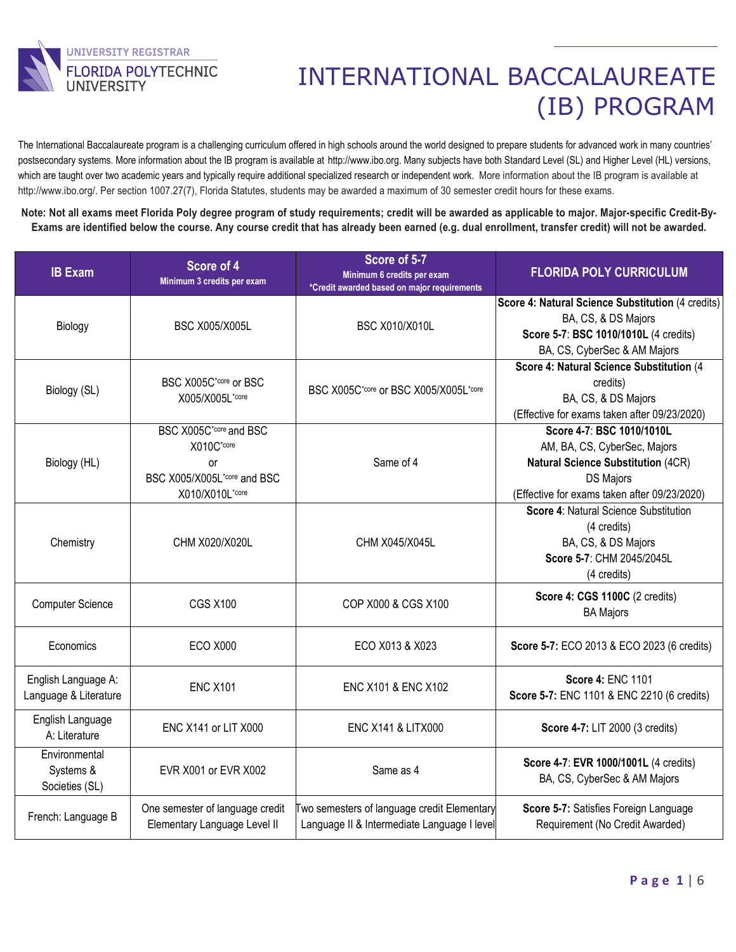

The International Baccalaureate program is a challenging curriculum offered in high schools around the world designed to prepare students for advanced work in many countries' postsecondary systems. More information about the IB program is available at [http://www.ibo.org.](http://www.ibo.org/) Many subjects have both Standard Level (SL) and Higher Level (HL) versions, which are taught over two academic years and typically require additional specialized research or independent work. More information about the IB program is available at http://www.ibo.org/. Per section 1007.27(7), Florida Statutes, students may be awarded a maximum of 30 semester credit hours for these exams.

**Note: Not all exams meet Florida Poly degree program of study requirements; credit will be awarded as applicable to major. Major-specific Credit-By-Exams are identified below the course. Any course credit that has already been earned (e.g. dual enrollment, transfer credit) will not be awarded.**

| <b>IB Exam</b>                               | Score of 4<br>Minimum 3 credits per exam                                                     | Score of 5-7<br>Minimum 6 credits per exam<br>*Credit awarded based on major requirements  | <b>FLORIDA POLY CURRICULUM</b>                                                                                                                                             |
|----------------------------------------------|----------------------------------------------------------------------------------------------|--------------------------------------------------------------------------------------------|----------------------------------------------------------------------------------------------------------------------------------------------------------------------------|
| Biology                                      | <b>BSC X005/X005L</b>                                                                        | <b>BSC X010/X010L</b>                                                                      | Score 4: Natural Science Substitution (4 credits)<br>BA, CS, & DS Majors<br>Score 5-7: BSC 1010/1010L (4 credits)<br>BA, CS, CyberSec & AM Majors                          |
| Biology (SL)                                 | BSC X005C <sup>*core</sup> or BSC<br>X005/X005L*core                                         | BSC X005C*core or BSC X005/X005L*core                                                      | Score 4: Natural Science Substitution (4<br>credits)<br>BA, CS, & DS Majors<br>(Effective for exams taken after 09/23/2020)                                                |
| Biology (HL)                                 | BSC X005C*core and BSC<br>X010C*core<br>or<br>BSC X005/X005L*core and BSC<br>X010/X010L*core | Same of 4                                                                                  | Score 4-7: BSC 1010/1010L<br>AM, BA, CS, CyberSec, Majors<br><b>Natural Science Substitution (4CR)</b><br><b>DS Majors</b><br>(Effective for exams taken after 09/23/2020) |
| Chemistry                                    | CHM X020/X020L                                                                               | CHM X045/X045L                                                                             | Score 4: Natural Science Substitution<br>(4 credits)<br>BA, CS, & DS Majors<br>Score 5-7: CHM 2045/2045L<br>(4 credits)                                                    |
| <b>Computer Science</b>                      | <b>CGS X100</b>                                                                              | COP X000 & CGS X100                                                                        | Score 4: CGS 1100C (2 credits)<br><b>BA Majors</b>                                                                                                                         |
| Economics                                    | <b>ECO X000</b>                                                                              | ECO X013 & X023                                                                            | Score 5-7: ECO 2013 & ECO 2023 (6 credits)                                                                                                                                 |
| English Language A:<br>Language & Literature | <b>ENC X101</b>                                                                              | ENC X101 & ENC X102                                                                        | Score 4: ENC 1101<br>Score 5-7: ENC 1101 & ENC 2210 (6 credits)                                                                                                            |
| English Language<br>A: Literature            | <b>ENC X141 or LIT X000</b>                                                                  | <b>ENC X141 &amp; LITX000</b>                                                              | Score 4-7: LIT 2000 (3 credits)                                                                                                                                            |
| Environmental<br>Systems &<br>Societies (SL) | EVR X001 or EVR X002                                                                         | Same as 4                                                                                  | Score 4-7: EVR 1000/1001L (4 credits)<br>BA, CS, CyberSec & AM Majors                                                                                                      |
| French: Language B                           | One semester of language credit<br>Elementary Language Level II                              | Two semesters of language credit Elementary<br>Language II & Intermediate Language I level | Score 5-7: Satisfies Foreign Language<br>Requirement (No Credit Awarded)                                                                                                   |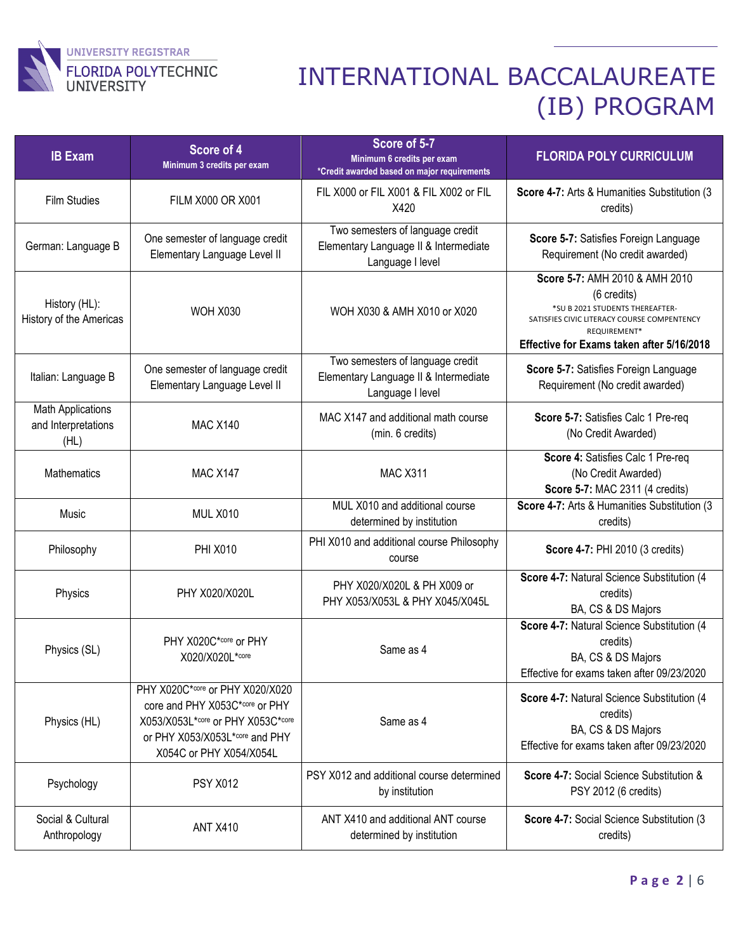

| <b>IB Exam</b>                                          | Score of 4<br>Minimum 3 credits per exam                                                                                                                            | Score of 5-7<br>Minimum 6 credits per exam<br>*Credit awarded based on major requirements     | <b>FLORIDA POLY CURRICULUM</b>                                                                                                                                                               |
|---------------------------------------------------------|---------------------------------------------------------------------------------------------------------------------------------------------------------------------|-----------------------------------------------------------------------------------------------|----------------------------------------------------------------------------------------------------------------------------------------------------------------------------------------------|
| <b>Film Studies</b>                                     | FILM X000 OR X001                                                                                                                                                   | FIL X000 or FIL X001 & FIL X002 or FIL<br>X420                                                | Score 4-7: Arts & Humanities Substitution (3<br>credits)                                                                                                                                     |
| German: Language B                                      | One semester of language credit<br>Elementary Language Level II                                                                                                     | Two semesters of language credit<br>Elementary Language II & Intermediate<br>Language I level | Score 5-7: Satisfies Foreign Language<br>Requirement (No credit awarded)                                                                                                                     |
| History (HL):<br>History of the Americas                | <b>WOH X030</b>                                                                                                                                                     | WOH X030 & AMH X010 or X020                                                                   | Score 5-7: AMH 2010 & AMH 2010<br>(6 credits)<br>*SU B 2021 STUDENTS THEREAFTER-<br>SATISFIES CIVIC LITERACY COURSE COMPENTENCY<br>REQUIREMENT*<br>Effective for Exams taken after 5/16/2018 |
| Italian: Language B                                     | One semester of language credit<br>Elementary Language Level II                                                                                                     | Two semesters of language credit<br>Elementary Language II & Intermediate<br>Language I level | Score 5-7: Satisfies Foreign Language<br>Requirement (No credit awarded)                                                                                                                     |
| <b>Math Applications</b><br>and Interpretations<br>(HL) | <b>MAC X140</b>                                                                                                                                                     | MAC X147 and additional math course<br>(min. 6 credits)                                       | Score 5-7: Satisfies Calc 1 Pre-req<br>(No Credit Awarded)                                                                                                                                   |
| Mathematics                                             | <b>MAC X147</b>                                                                                                                                                     | <b>MAC X311</b>                                                                               | Score 4: Satisfies Calc 1 Pre-req<br>(No Credit Awarded)<br>Score 5-7: MAC 2311 (4 credits)                                                                                                  |
| Music                                                   | <b>MUL X010</b>                                                                                                                                                     | MUL X010 and additional course<br>determined by institution                                   | Score 4-7: Arts & Humanities Substitution (3<br>credits)                                                                                                                                     |
| Philosophy                                              | <b>PHI X010</b>                                                                                                                                                     | PHI X010 and additional course Philosophy<br>course                                           | Score 4-7: PHI 2010 (3 credits)                                                                                                                                                              |
| Physics                                                 | PHY X020/X020L                                                                                                                                                      | PHY X020/X020L & PH X009 or<br>PHY X053/X053L & PHY X045/X045L                                | Score 4-7: Natural Science Substitution (4<br>credits)<br>BA, CS & DS Majors                                                                                                                 |
| Physics (SL)                                            | PHY X020C*core or PHY<br>X020/X020L*core                                                                                                                            | Same as 4                                                                                     | Score 4-7: Natural Science Substitution (4<br>credits)<br>BA, CS & DS Majors<br>Effective for exams taken after 09/23/2020                                                                   |
| Physics (HL)                                            | PHY X020C*core or PHY X020/X020<br>core and PHY X053C*core or PHY<br>X053/X053L*core or PHY X053C*core<br>or PHY X053/X053L*core and PHY<br>X054C or PHY X054/X054L | Same as 4                                                                                     | Score 4-7: Natural Science Substitution (4)<br>credits)<br>BA, CS & DS Majors<br>Effective for exams taken after 09/23/2020                                                                  |
| Psychology                                              | <b>PSY X012</b>                                                                                                                                                     | PSY X012 and additional course determined<br>by institution                                   | Score 4-7: Social Science Substitution &<br>PSY 2012 (6 credits)                                                                                                                             |
| Social & Cultural<br>Anthropology                       | <b>ANT X410</b>                                                                                                                                                     | ANT X410 and additional ANT course<br>determined by institution                               | Score 4-7: Social Science Substitution (3<br>credits)                                                                                                                                        |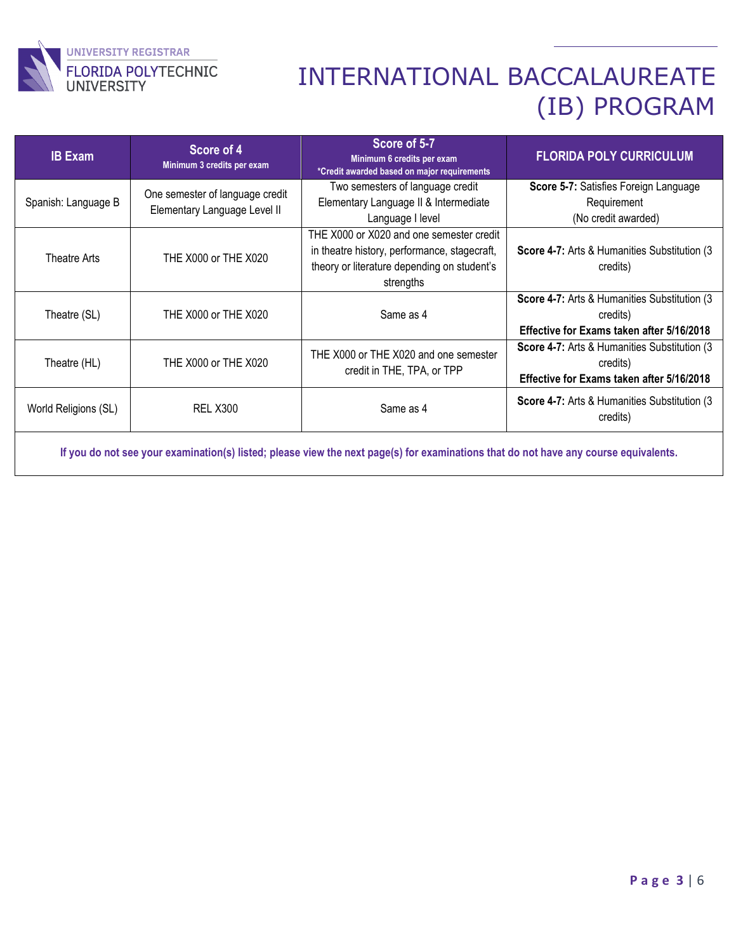

| <b>IB Exam</b>       | Score of 4<br>Minimum 3 credits per exam                        | Score of 5-7<br>Minimum 6 credits per exam<br>*Credit awarded based on major requirements                                                            | <b>FLORIDA POLY CURRICULUM</b>                                                                         |
|----------------------|-----------------------------------------------------------------|------------------------------------------------------------------------------------------------------------------------------------------------------|--------------------------------------------------------------------------------------------------------|
| Spanish: Language B  | One semester of language credit<br>Elementary Language Level II | Two semesters of language credit<br>Elementary Language II & Intermediate<br>Language I level                                                        | Score 5-7: Satisfies Foreign Language<br>Requirement<br>(No credit awarded)                            |
| Theatre Arts         | THE X000 or THE X020                                            | THE X000 or X020 and one semester credit<br>in theatre history, performance, stagecraft,<br>theory or literature depending on student's<br>strengths | Score 4-7: Arts & Humanities Substitution (3)<br>credits)                                              |
| Theatre (SL)         | THE X000 or THE X020                                            | Same as 4                                                                                                                                            | Score 4-7: Arts & Humanities Substitution (3)<br>credits)<br>Effective for Exams taken after 5/16/2018 |
| Theatre (HL)         | THE X000 or THE X020                                            | THE X000 or THE X020 and one semester<br>credit in THE, TPA, or TPP                                                                                  | Score 4-7: Arts & Humanities Substitution (3)<br>credits)<br>Effective for Exams taken after 5/16/2018 |
| World Religions (SL) | <b>REL X300</b>                                                 | Same as 4                                                                                                                                            | Score 4-7: Arts & Humanities Substitution (3)<br>credits)                                              |

**If you do not see your examination(s) listed; please view the next page(s) for examinations that do not have any course equivalents.**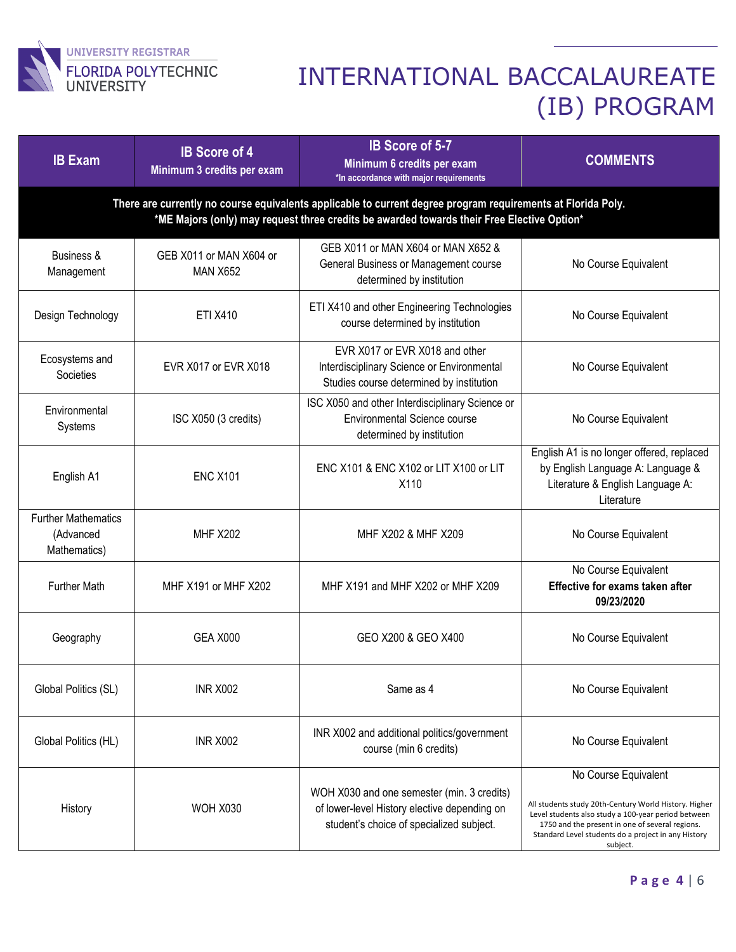

| <b>IB Exam</b>                                          | <b>IB Score of 4</b><br>Minimum 3 credits per exam                                                                                                                                                         | IB Score of 5-7<br>Minimum 6 credits per exam<br>*In accordance with major requirements                                                | <b>COMMENTS</b>                                                                                                                                                                                                                                            |  |
|---------------------------------------------------------|------------------------------------------------------------------------------------------------------------------------------------------------------------------------------------------------------------|----------------------------------------------------------------------------------------------------------------------------------------|------------------------------------------------------------------------------------------------------------------------------------------------------------------------------------------------------------------------------------------------------------|--|
|                                                         | There are currently no course equivalents applicable to current degree program requirements at Florida Poly.<br>*ME Majors (only) may request three credits be awarded towards their Free Elective Option* |                                                                                                                                        |                                                                                                                                                                                                                                                            |  |
| Business &<br>Management                                | GEB X011 or MAN X604 or<br><b>MAN X652</b>                                                                                                                                                                 | GEB X011 or MAN X604 or MAN X652 &<br>General Business or Management course<br>determined by institution                               | No Course Equivalent                                                                                                                                                                                                                                       |  |
| Design Technology                                       | <b>ETI X410</b>                                                                                                                                                                                            | ETI X410 and other Engineering Technologies<br>course determined by institution                                                        | No Course Equivalent                                                                                                                                                                                                                                       |  |
| Ecosystems and<br>Societies                             | EVR X017 or EVR X018                                                                                                                                                                                       | EVR X017 or EVR X018 and other<br>Interdisciplinary Science or Environmental<br>Studies course determined by institution               | No Course Equivalent                                                                                                                                                                                                                                       |  |
| Environmental<br>Systems                                | ISC X050 (3 credits)                                                                                                                                                                                       | ISC X050 and other Interdisciplinary Science or<br>Environmental Science course<br>determined by institution                           | No Course Equivalent                                                                                                                                                                                                                                       |  |
| English A1                                              | <b>ENC X101</b>                                                                                                                                                                                            | ENC X101 & ENC X102 or LIT X100 or LIT<br>X110                                                                                         | English A1 is no longer offered, replaced<br>by English Language A: Language &<br>Literature & English Language A:<br>Literature                                                                                                                           |  |
| <b>Further Mathematics</b><br>(Advanced<br>Mathematics) | <b>MHF X202</b>                                                                                                                                                                                            | MHF X202 & MHF X209                                                                                                                    | No Course Equivalent                                                                                                                                                                                                                                       |  |
| <b>Further Math</b>                                     | MHF X191 or MHF X202                                                                                                                                                                                       | MHF X191 and MHF X202 or MHF X209                                                                                                      | No Course Equivalent<br>Effective for exams taken after<br>09/23/2020                                                                                                                                                                                      |  |
| Geography                                               | <b>GEA X000</b>                                                                                                                                                                                            | GEO X200 & GEO X400                                                                                                                    | No Course Equivalent                                                                                                                                                                                                                                       |  |
| Global Politics (SL)                                    | <b>INR X002</b>                                                                                                                                                                                            | Same as 4                                                                                                                              | No Course Equivalent                                                                                                                                                                                                                                       |  |
| Global Politics (HL)                                    | <b>INR X002</b>                                                                                                                                                                                            | INR X002 and additional politics/government<br>course (min 6 credits)                                                                  | No Course Equivalent                                                                                                                                                                                                                                       |  |
| History                                                 | <b>WOH X030</b>                                                                                                                                                                                            | WOH X030 and one semester (min. 3 credits)<br>of lower-level History elective depending on<br>student's choice of specialized subject. | No Course Equivalent<br>All students study 20th-Century World History. Higher<br>Level students also study a 100-year period between<br>1750 and the present in one of several regions.<br>Standard Level students do a project in any History<br>subject. |  |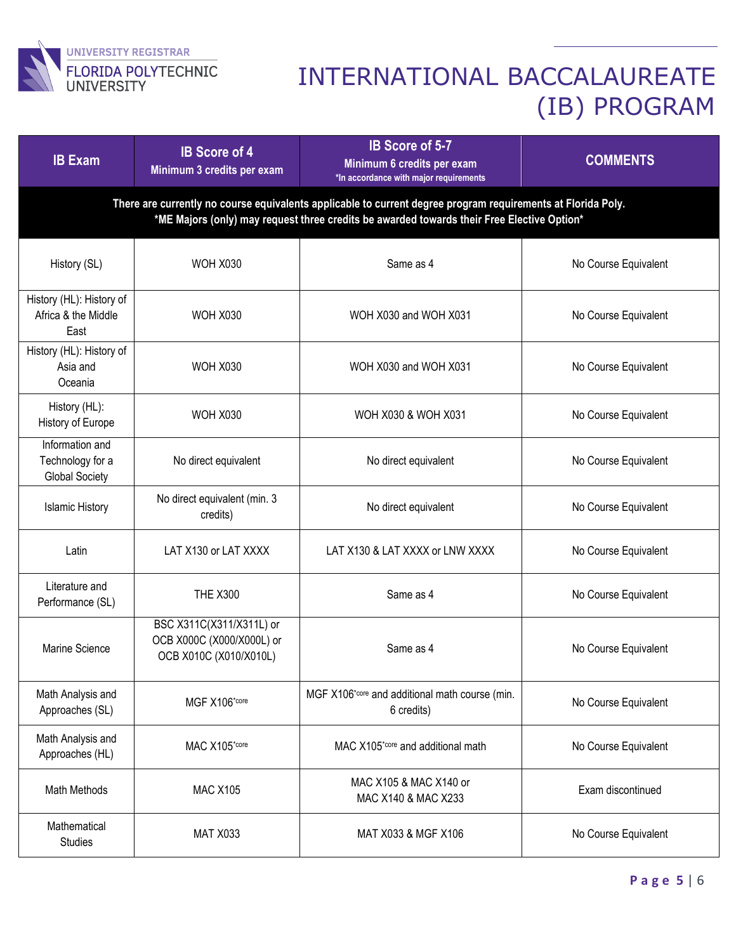

| <b>IB Exam</b>                                               | <b>IB Score of 4</b><br>Minimum 3 credits per exam                                                                                                                                                         | <b>IB Score of 5-7</b><br>Minimum 6 credits per exam<br>*In accordance with major requirements | <b>COMMENTS</b>      |  |
|--------------------------------------------------------------|------------------------------------------------------------------------------------------------------------------------------------------------------------------------------------------------------------|------------------------------------------------------------------------------------------------|----------------------|--|
|                                                              | There are currently no course equivalents applicable to current degree program requirements at Florida Poly.<br>*ME Majors (only) may request three credits be awarded towards their Free Elective Option* |                                                                                                |                      |  |
| History (SL)                                                 | <b>WOH X030</b>                                                                                                                                                                                            | Same as 4                                                                                      | No Course Equivalent |  |
| History (HL): History of<br>Africa & the Middle<br>East      | <b>WOH X030</b>                                                                                                                                                                                            | WOH X030 and WOH X031                                                                          | No Course Equivalent |  |
| History (HL): History of<br>Asia and<br>Oceania              | <b>WOH X030</b>                                                                                                                                                                                            | WOH X030 and WOH X031                                                                          | No Course Equivalent |  |
| History (HL):<br>History of Europe                           | <b>WOH X030</b>                                                                                                                                                                                            | WOH X030 & WOH X031                                                                            | No Course Equivalent |  |
| Information and<br>Technology for a<br><b>Global Society</b> | No direct equivalent                                                                                                                                                                                       | No direct equivalent                                                                           | No Course Equivalent |  |
| <b>Islamic History</b>                                       | No direct equivalent (min. 3<br>credits)                                                                                                                                                                   | No direct equivalent                                                                           | No Course Equivalent |  |
| Latin                                                        | LAT X130 or LAT XXXX                                                                                                                                                                                       | LAT X130 & LAT XXXX or LNW XXXX                                                                | No Course Equivalent |  |
| Literature and<br>Performance (SL)                           | <b>THE X300</b>                                                                                                                                                                                            | Same as 4                                                                                      | No Course Equivalent |  |
| Marine Science                                               | BSC X311C(X311/X311L) or<br>OCB X000C (X000/X000L) or<br>OCB X010C (X010/X010L)                                                                                                                            | Same as 4                                                                                      | No Course Equivalent |  |
| Math Analysis and<br>Approaches (SL)                         | MGF X106*core                                                                                                                                                                                              | MGF X106*core and additional math course (min.<br>6 credits)                                   | No Course Equivalent |  |
| Math Analysis and<br>Approaches (HL)                         | MAC X105*core                                                                                                                                                                                              | MAC X105*core and additional math                                                              | No Course Equivalent |  |
| Math Methods                                                 | <b>MAC X105</b>                                                                                                                                                                                            | MAC X105 & MAC X140 or<br>MAC X140 & MAC X233                                                  | Exam discontinued    |  |
| Mathematical<br>Studies                                      | <b>MAT X033</b>                                                                                                                                                                                            | MAT X033 & MGF X106                                                                            | No Course Equivalent |  |